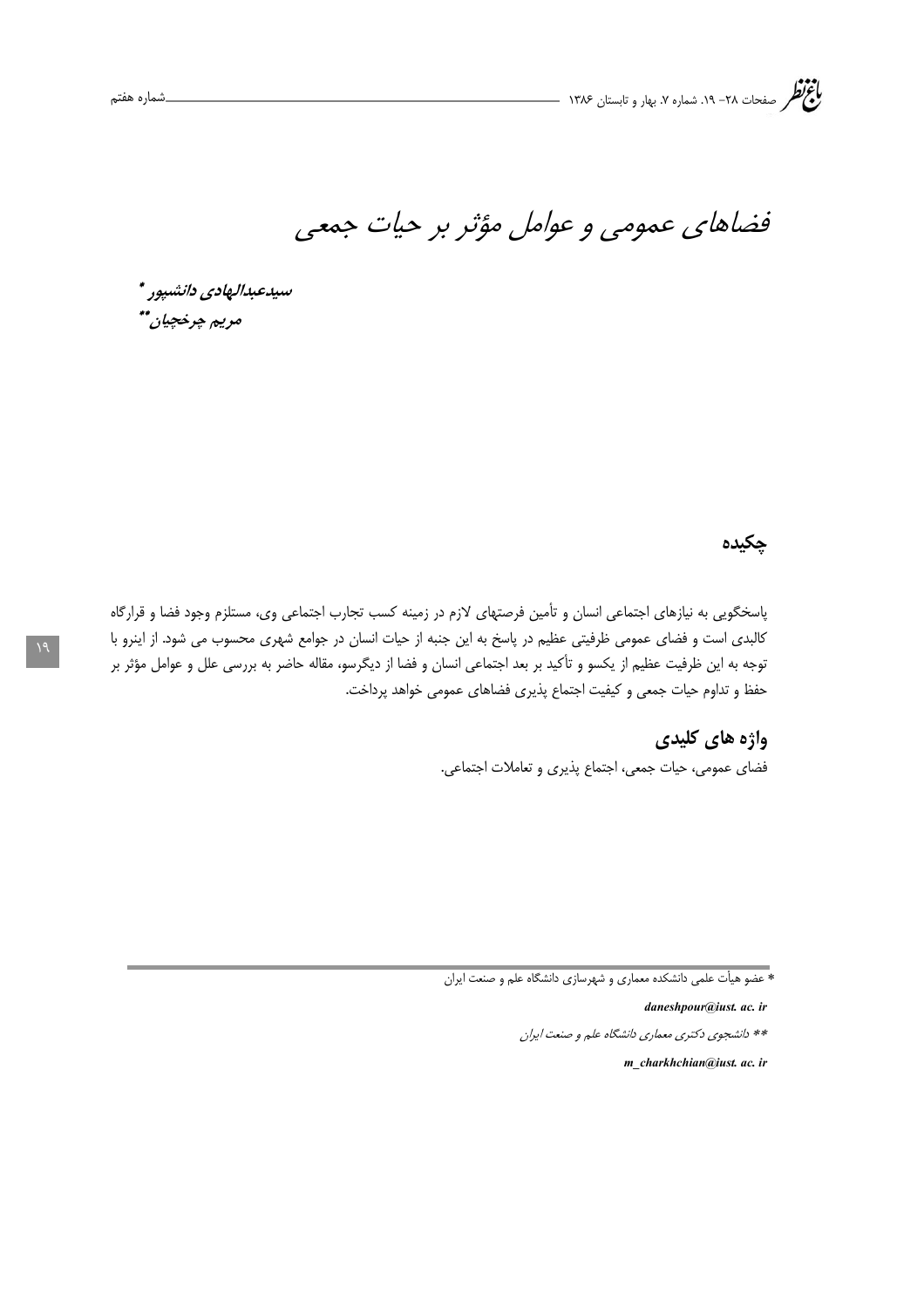فضاهای عمومی و عوامل مؤثر بر حیات جمعی

سيدعبدالهادي دانشپور \* مريم چرخچيان\*\*

## چکیده

پاسخگویی به نیازهای اجتماعی انسان و تأمین فرصتهای لازم در زمینه کسب تجارب اجتماعی وی، مستلزم وجود فضا و قرارگاه كالبدى است و فضاى عمومى ظرفيتى عظيم در پاسخ به اين جنبه از حيات انسان در جوامع شهرى محسوب مى شود. از اينرو با توجه به این ظرفیت عظیم از یکسو و تأکید بر بعد اجتماعی انسان و فضا از دیگرسو، مقاله حاضر به بررسی علل و عوامل مؤثر بر حفظ و تداوم حیات جمعی و کیفیت اجتماع پذیری فضاهای عمومی خواهد پرداخت.

> **واژه های کلیدی** فضاي عمومي، حيات جمعي، اجتماع پذيري و تعاملات اجتماعي.

daneshpour@just. ac. ir

\*\* دانشجوی دکتری معماری دانشگاه علم و صنعت ایران

m charkhchian@just. ac. ir

<sup>\*</sup> عضو هیأت علمی دانشکده معماری و شهرسازی دانشگاه علم و صنعت ایران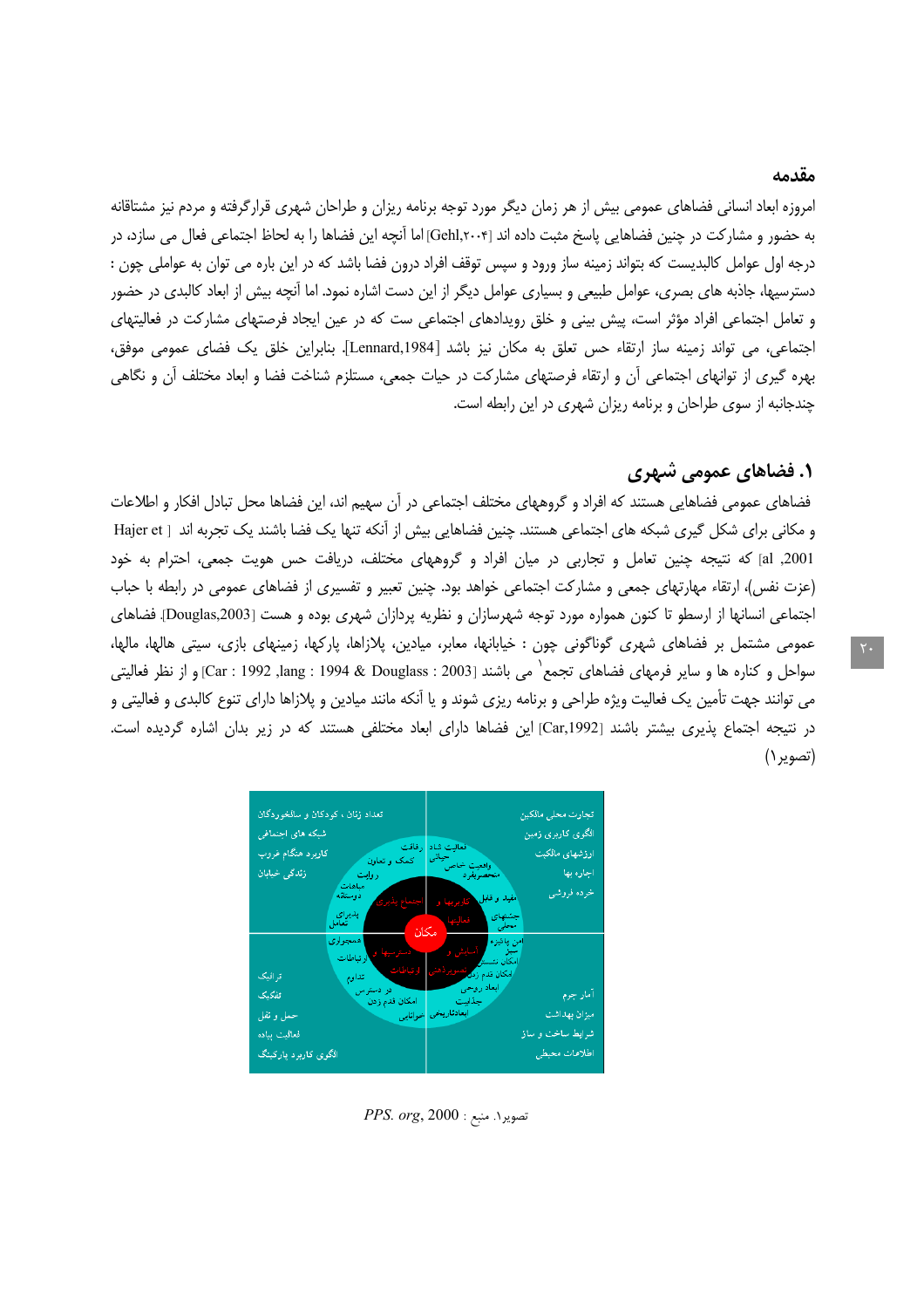#### مقدمه

امروزه ابعاد انسانی فضاهای عمومی بیش از هر زمان دیگر مورد توجه برنامه ریزان و طراحان شهری قرارگرفته و مردم نیز مشتاقانه به حضور و مشاركت در چنين فضاهايي پاسخ مثبت داده اند [Gehl,۲۰۰۴] اما آنچه اين فضاها را به لحاظ اجتماعي فعال مي سازد، در درجه اول عوامل کالبدیست که بتواند زمینه ساز ورود و سپس توقف افراد درون فضا باشد که در این باره می توان به عواملی چون : دسترسیها، جاذبه های بصری، عوامل طبیعی و بسیاری عوامل دیگر از این دست اشاره نمود. اما آنچه بیش از ابعاد کالبدی در حضور و تعامل اجتماعی افراد مؤثر است، پیش بینی و خلق رویدادهای اجتماعی ست که در عین ایجاد فرصتهای مشارکت در فعالیتهای اجتماعي، مي تواند زمينه ساز ارتقاء حس تعلق به مكان نيز باشد [Lennard,1984]. بنابراين خلق يک فضاي عمومي موفق، بهره گیری از توانهای اجتماعی آن و ارتقاء فرصتهای مشارکت در حیات جمعی، مستلزم شناخت فضا و ابعاد مختلف آن و نگاهی چندجانبه از سوی طراحان و برنامه ریزان شهری در این رابطه است.

## **۱. فضاهای عمومی شهری**

فضاهای عمومی فضاهایی هستند که افراد و گروههای مختلف اجتماعی در آن سهیم اند، این فضاها محل تبادل افکار و اطلاعات و مكاني براي شكل گيري شبكه هاي اجتماعي هستند. چنين فضاهايي بيش از أنكه تنها يک فضا باشند يک تجربه اند [ Hajer et al ,2001) كه نتيجه چنين تعامل و تجاربي در ميان افراد و گروههاي مختلف، دريافت حس هويت جمعي، احترام به خود (عزت نفس)، ارتقاء مهارتهای جمعی و مشارکت اجتماعی خواهد بود. چنین تعبیر و تفسیری از فضاهای عمومی در رابطه با حباب اجتماعی انسانها از ارسطو تا کنون همواره مورد توجه شهرسازان و نظریه پردازان شهری بوده و هست [Douglas,2003]. فضاهای عمومی مشتمل بر فضاهای شهری گوناگونی چون : خیابانها، معابر، میادین، پلازاها، پارکها، زمینهای بازی، سیتی هالها، مالها، سواحل و كناره ها و ساير فرمهاي فضاهاي تجمع` مي باشند [2003 : Lang : 1994 & Douglass ,1992 : Car و از نظر فعاليتي مي توانند جهت تأمين يک فعاليت ويژه طراحي و برنامه ريزي شوند و يا اُنکه مانند ميادين و پلازاها داراي تنوع کالبدي و فعاليتي و در نتیجه اجتماع پذیری بیشتر باشند [Car,1992] این فضاها دارای ابعاد مختلفی هستند که در زیر بدان اشاره گردیده است. (تصوير ۱)

| تعداد زنان ، کودکان و سالخوردگان         | تجارت محلي مالكين                                                            |  |
|------------------------------------------|------------------------------------------------------------------------------|--|
| شبکه های اجتماضی                         | الگوی کاربری زمین                                                            |  |
| رفاقت<br>کاربرد هنگام غروب<br>كمك وتعاون | ا فعالیت شاد<br>حیاتی<br>ارزشهای مالکیت                                      |  |
| زندگی خبابان<br>ی روایت                  | وافعیت خاص ً<br>منحصربفرد<br>اجاره بها                                       |  |
| مباهات<br>دوستانه                        | خرده فروشى<br>مفید و قابل کاربریها و                                         |  |
| پدیرای<br>ا<br>- مكان -                  | جشنهای <mark>ن</mark> عالیتها ا                                              |  |
| اهمجوارى<br>المستحصر سيها وبالطات        | امن بائیزه <mark>کی آسایش و م</mark> خ<br>مىبز<br> مكان نتىست <mark>ى</mark> |  |
| ارتباطات تداوم<br>ترافیک                 | امکان قدم زد <mark>ه تصوی</mark> ردهنی <mark>ا</mark>                        |  |
| - تفكيك                                  | ر ابعاد روحی مستقبل می در دسترس<br>آمار جرم<br>ر حذایت امکان قدم زدن         |  |
| أبعادناريخي خوانايي<br>حمل و نفل         | ميزان بهداشت                                                                 |  |
| فعالميت ببياده                           | شرایط ساخت و سا <mark>ز</mark>                                               |  |
| الگوی کاربرد پارکینگ                     | اطلاعات محبطي                                                                |  |

 $PPS. org, 2000 :$  تصویر ۱. منبع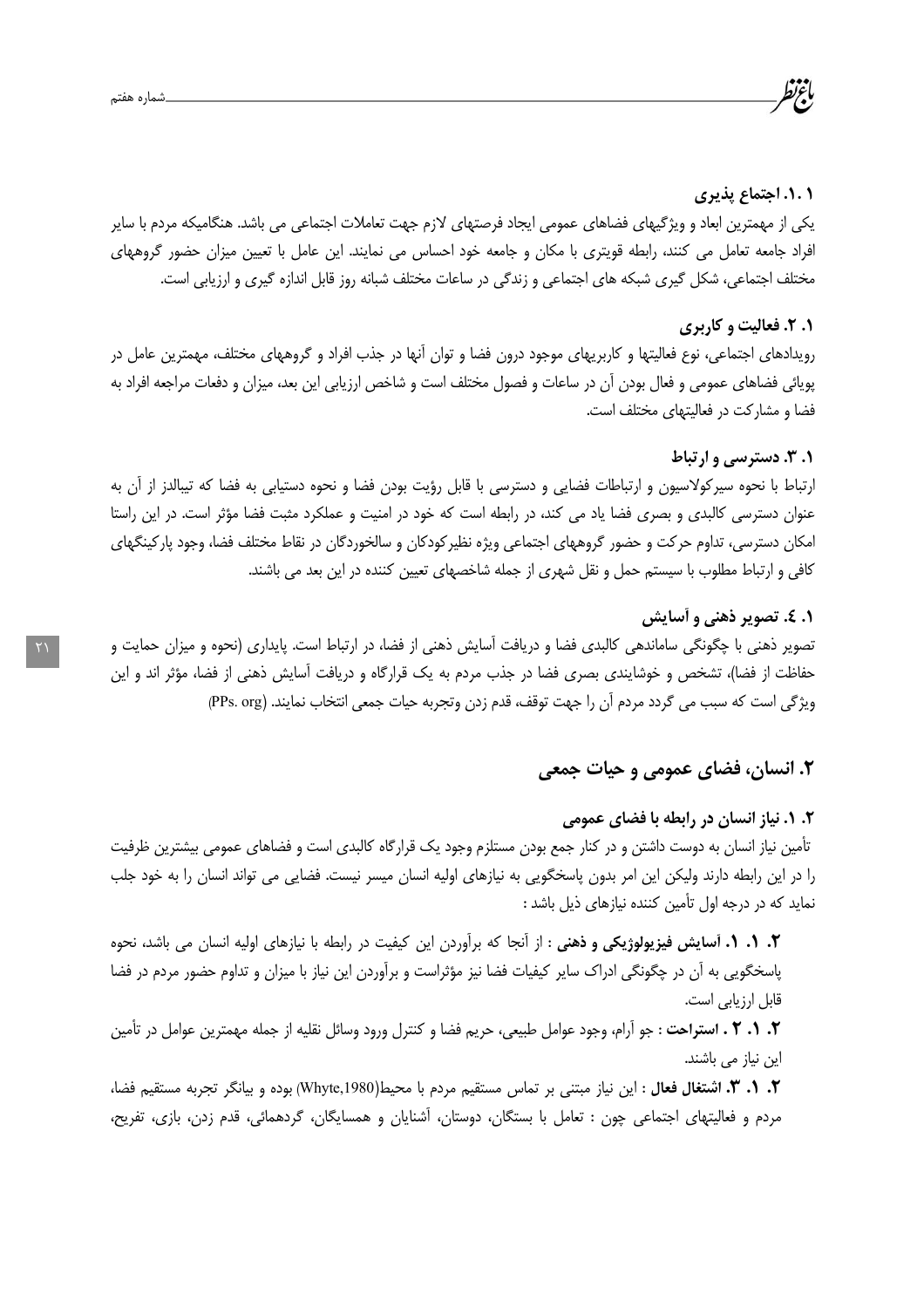#### ۰۱.۱ اجتماع پذیری

یکی از مهمترین ابعاد و ویژگیهای فضاهای عمومی ایجاد فرصتهای لازم جهت تعاملات اجتماعی می باشد. هنگامیکه مردم با سایر افراد جامعه تعامل می کنند، رابطه قویتری با مکان و جامعه خود احساس می نمایند. این عامل با تعیین میزان حضور گروههای مختلف اجتماعی، شکل گیری شبکه های اجتماعی و زندگی در ساعات مختلف شبانه روز قابل اندازه گیری و ارزیابی است.

#### ۰. ۲. فعالیت و کاربری

رویدادهای اجتماعی، نوع فعالیتها و کاربریهای موجود درون فضا و توان آنها در جذب افراد و گروههای مختلف، مهمترین عامل در پویائی فضاهای عمومی و فعال بودن آن در ساعات و فصول مختلف است و شاخص ارزیابی این بعد، میزان و دفعات مراجعه افراد به فضا و مشارکت در فعالیتهای مختلف است.

#### ۰. ۳. دسترسي وارتباط

ارتباط با نحوه سیرکولاسیون و ارتباطات فضایی و دسترسی با قابل رؤیت بودن فضا و نحوه دستیابی به فضا که تیبالدز از آن به عنوان دسترسی کالبدی و بصری فضا یاد می کند، در رابطه است که خود در امنیت و عملکرد مثبت فضا مؤثر است. در این راستا امکان دسترسی، تداوم حرکت و حضور گروههای اجتماعی ویژه نظیر کودکان و سالخوردگان در نقاط مختلف فضا، وجود پارکینگهای کافی و ارتباط مطلوب با سیستم حمل و نقل شهری از جمله شاخصهای تعیین کننده در این بعد می باشند.

#### **۱. ٤. تصوير ذهني و أسايش**

تصویر ذهنی با چگونگی ساماندهی کالبدی فضا و دریافت آسایش ذهنی از فضا، در ارتباط است. پایداری (نحوه و میزان حمایت و حفاظت از فضا)، تشخص و خوشایندی بصری فضا در جذب مردم به یک قرارگاه و دریافت آسایش ذهنی از فضا، مؤثر اند و این ويژگي است كه سبب مي گردد مردم أن را جهت توقف، قدم زدن وتجربه حيات جمعي انتخاب نمايند. (PPs. org)

### ۲. انسان، فضای عمومی و حیات جمعی

## ۲. ۱. نیاز انسان در رابطه با فضای عمومی تأمین نیاز انسان به دوست داشتن و در کنار جمع بودن مستلزم وجود یک قرارگاه کالبدی است و فضاهای عمومی بیشترین ظرفیت را در این رابطه دارند ولیکن این امر بدون پاسخگویی به نیازهای اولیه انسان میسر نیست. فضایی می تواند انسان را به خود جلب نماید که در درجه اول تأمین کننده نیازهای ذیل باشد :

**٢. ١. ١. آسايش فيزيولوژيكي و ذهني :** از آنجا كه برآوردن اين كيفيت در رابطه با نيازهاي اوليه انسان مي باشد، نحوه پاسخگویی به آن در چگونگی ادراک سایر کیفیات فضا نیز مؤثراست و برآوردن این نیاز با میزان و تداوم حضور مردم در فضا قابل ارزیابی است.

**٢. ١. ٢ . استراحت** : جو أرام، وجود عوامل طبيعي، حريم فضا و كنترل ورود وسائل نقليه از جمله مهمترين عوامل در تأمين این نیاز می باشند.

۲. ۱. ۳. اشتغال فعال : این نیاز مبتنی بر تماس مستقیم مردم با محیط(Whyte,1980) بوده و بیانگر تجربه مستقیم فضا، مردم و فعالیتهای اجتماعی چون : تعامل با بستگان، دوستان، اَشنایان و همسایگان، گردهمائی، قدم زدن، بازی، تفریح،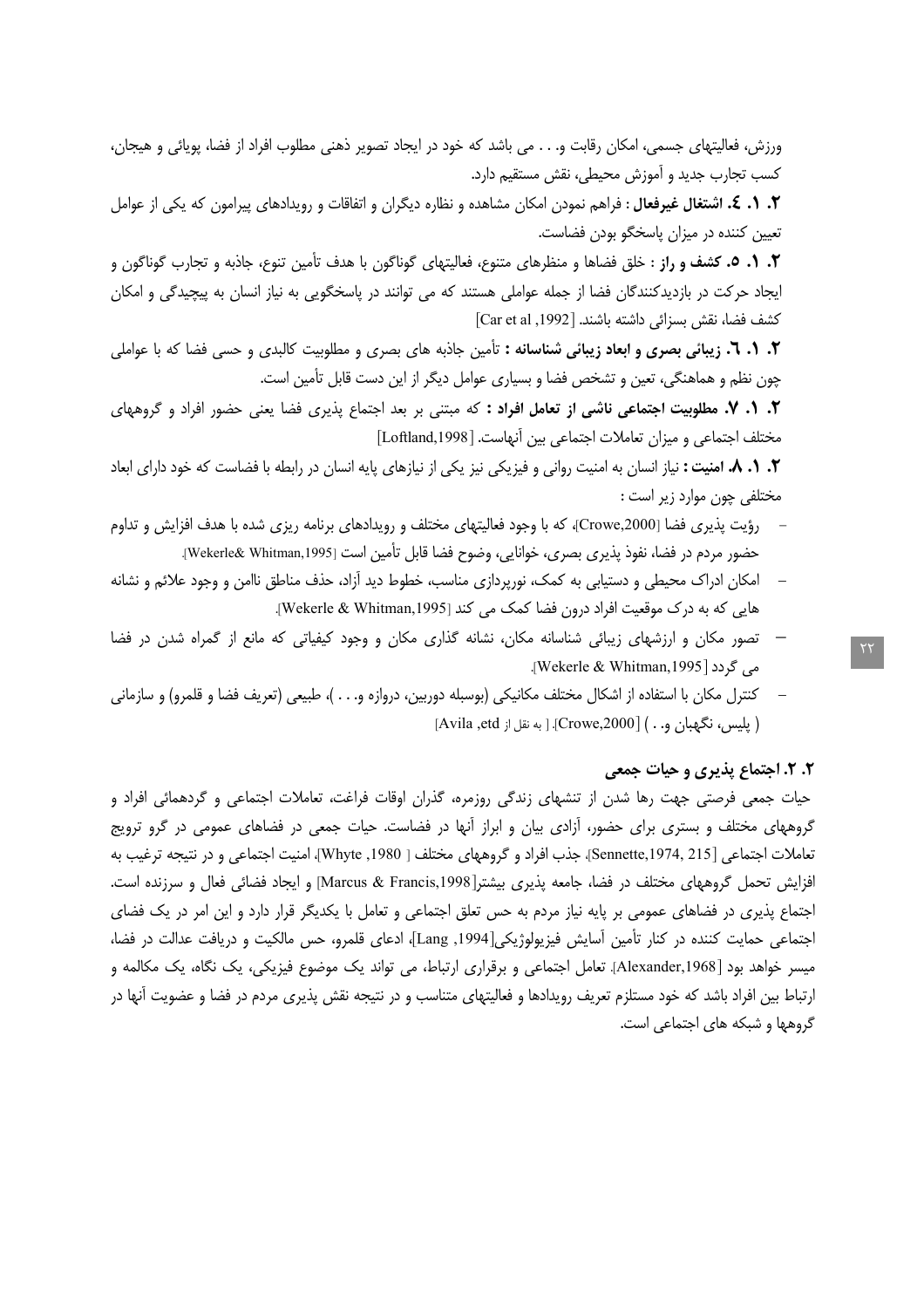ورزش، فعالیتهای جسمی، امکان رقابت و. . . می باشد که خود در ایجاد تصویر ذهنی مطلوب افراد از فضا، پویائی و هیجان، کسب تجارب جدید و آموزش محیطی، نقش مستقیم دارد.

۲. ۱. ٤. اشتغال غیرفعال : فراهم نمودن امکان مشاهده و نظاره دیگران و اتفاقات و رویدادهای پیرامون که یکی از عوامل تعیین کننده در میزان پاسخگو بودن فضاست.

**٢. ١. ٥. كشف و راز :** خلق فضاها و منظرهاى متنوع، فعاليتهاى گوناگون با هدف تأمين تنوع، جاذبه و تجارب گوناگون و ایجاد حرکت در بازدیدکنندگان فضا از جمله عواملی هستند که می توانند در پاسخگویی به نیاز انسان به پیچیدگی و امکان كشف فضا، نقش بسزائي داشته باشند. [1992, Car et al]

٢. ١. ٦. زيبائي بصرى و ابعاد زيبائي شناسانه : تأمين جاذبه هاي بصرى و مطلوبيت كالبدى و حسى فضا كه با عواملي چون نظم و هماهنگی، تعین و تشخص فضا و بسیاری عوامل دیگر از این دست قابل تأمین است.

٢. ١. ٧. مطلوبيت اجتماعي ناشي از تعامل افراد : كه مبتني بر بعد اجتماع پذيري فضا يعني حضور افراد و گروههاي مختلف اجتماعي و ميزان تعاملات اجتماعي بين آنهاست. [Loftland,1998]

۰۲. ۸. ۸. امنیت : نیاز انسان به امنیت روانی و فیزیکی نیز یکی از نیازهای پایه انسان در رابطه با فضاست که خود دارای ابعاد مختلفی چون موارد زیر است :

- رؤیت پذیری فضا [Crowe,2000]، که با وجود فعالیتهای مختلف و رویدادهای برنامه ریزی شده با هدف افزایش و تداوم حضور مردم در فضا، نفوذ پذیری بصری، خوانایی، وضوح فضا قابل تأمین است [Wekerle& Whitman,1995].
- امکان ادراک محیطی و دستیابی به کمک، نورپردازی مناسب، خطوط دید آزاد، حذف مناطق ناامن و وجود علائم و نشانه هایی که به درک موقعیت افراد درون فضا کمک می کند [Wekerle & Whitman,1995].
- تصور مکان و ارزشهای زیبائی شناسانه مکان، نشانه گذاری مکان و وجود کیفیاتی که مانع از گمراه شدن در فضا می گردد [Wekerle & Whitman,1995].
- كنترل مكان با استفاده از اشكال مختلف مكانيكي (بوسبله دوربين، دروازه و. . . )، طبيعي (تعريف فضا و قلمرو) و سازماني ( يليس، نگهبان و. . ) [Crowe,2000]. [ به نقل از Avila ,etd]

#### ٢. ٢. اجتماع پذیری و حیات جمعی

حیات جمعی فرصتی جهت رها شدن از تنشهای زندگی روزمره، گذران اوقات فراغت، تعاملات اجتماعی و گردهمائی افراد و گروههای مختلف و بستری برای حضور، آزادی بیان و ابراز آنها در فضاست. حیات جمعی در فضاهای عمومی در گرو ترویج تعاملات اجتماعي [Sennette,1974, 215]، جذب افراد و گروههاي مختلف [ Whyte ,1980]، امنيت اجتماعي و در نتيجه ترغيب به افزایش تحمل گروههای مختلف در فضا، جامعه پذیری بیشتر[Marcus & Francis,1998] و ایجاد فضائی فعال و سرزنده است. اجتماع پذیری در فضاهای عمومی بر پایه نیاز مردم به حس تعلق اجتماعی و تعامل با یکدیگر قرار دارد و این امر در یک فضای اجتماعی حمایت کننده در کنار تأمین آسایش فیزیولوژیکی[Lang ,1994]، ادعای قلمرو، حس مالکیت و دریافت عدالت در فضا، میسر خواهد بود [Alexander,1968]. تعامل اجتماعی و برقراری ارتباط، می تواند یک موضوع فیزیکی، یک نگاه، یک مکالمه و ارتباط بین افراد باشد که خود مستلزم تعریف رویدادها و فعالیتهای متناسب و در نتیجه نقش پذیری مردم در فضا و عضویت آنها در گروهها و شبکه های اجتماعی است.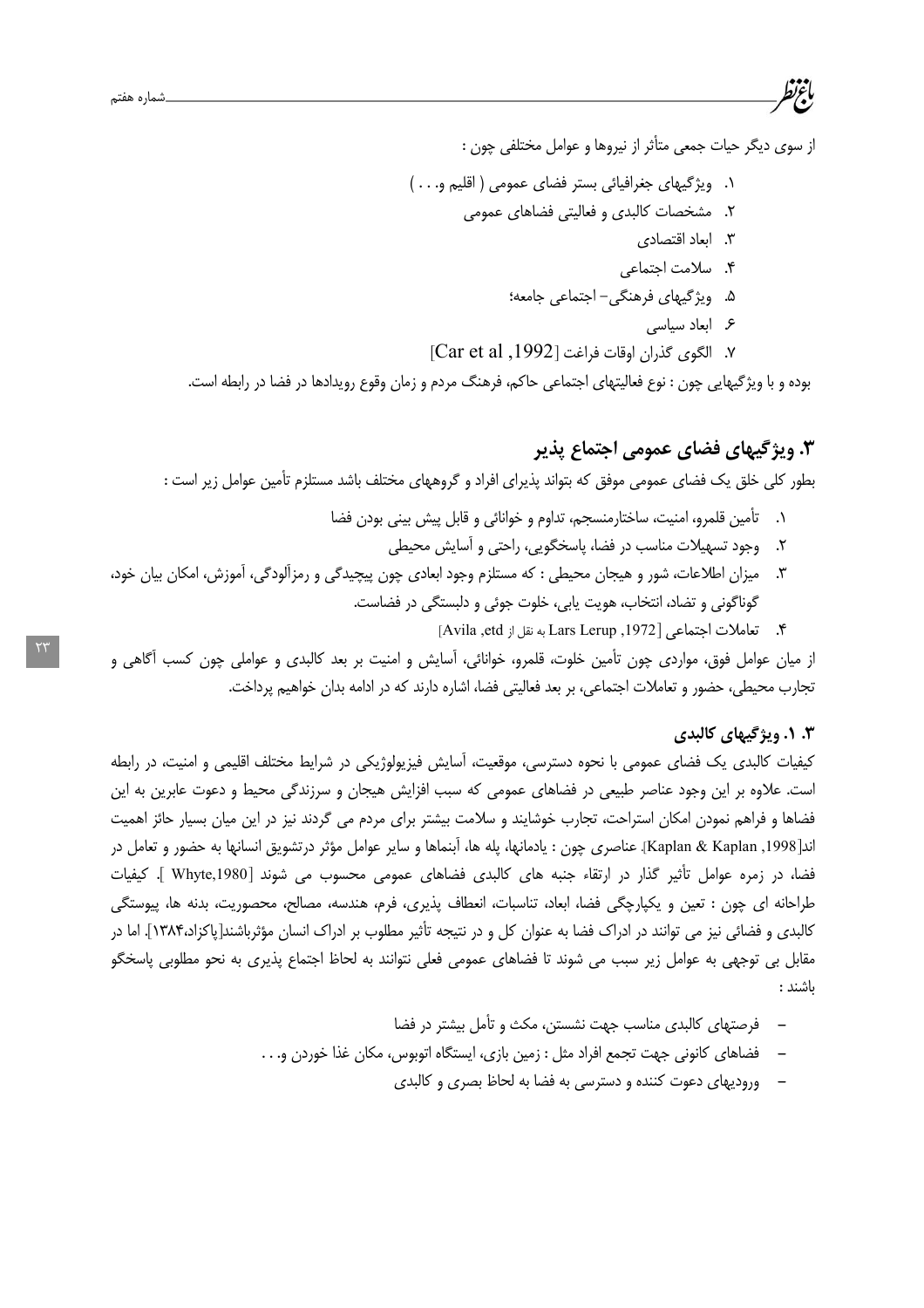از سوی دیگر حیات جمعی متأثر از نیروها و عوامل مختلفی چون :

- ١. ويژگيهاي جغرافيائي بستر فضاي عمومي ( اقليم و. . . )
	- ۲. مشخصات کالبدی و فعالیتی فضاهای عمومی
		- ۳. ایعاد اقتصادی
		- ۴. سلامت احتماعی
		- ۵. ویژگیهای فرهنگی-اجتماعی جامعه؛
			- ع ابعاد سیاسی
	- ٧. الكوى كذران اوقات فراغت [1992, Car et al]

بوده و با ویژگیهایی چون : نوع فعالیتهای اجتماعی حاکم، فرهنگ مردم و زمان وقوع رویدادها در فضا در رابطه است.

## ۳. ویژگیهای فضای عمومی اجتماع پذیر

بطور کلی خلق یک فضای عمومی موفق که بتواند پذیرای افراد و گروههای مختلف باشد مستلزم تأمین عوامل زیر است :

- ٠١. \_ تأمين قلمرو، امنيت، ساختارمنسجم، تداوم و خوانائي و قابل پيش بيني بودن فضا
	- ۲. وجود تسهیلات مناسب در فضا، پاسخگویی، راحتی و آسایش محیطی
- ۳. میزان اطلاعات، شور و هیجان محیطی : که مستلزم وجود ابعادی چون پیچیدگی و رمزآلودگی، آموزش، امکان بیان خود، گوناگونی و تضاد، انتخاب، هویت پابی، خلوت جوئی و دلبستگی در فضاست.
	- ۴. تعاملات اجتماعي [1972, Lars Lerup به نقل از Avila ,etd]

از میان عوامل فوق، مواردی چون تأمین خلوت، قلمرو، خوانائی، آسایش و امنیت بر بعد کالبدی و عواملی چون کسب آگاهی و تجارب محيطي، حضور و تعاملات اجتماعي، بر بعد فعاليتي فضا، اشاره دارند كه در ادامه بدان خواهيم پرداخت.

#### ۰. ۱. ویژگیهای کالبدی

کیفیات کالبدی یک فضای عمومی با نحوه دسترسی، موقعیت، اَسایش فیزیولوژیکی در شرایط مختلف اقلیمی و امنیت، در رابطه است. علاوه بر این وجود عناصر طبیعی در فضاهای عمومی که سبب افزایش هیجان و سرزندگی محیط و دعوت عابرین به این فضاها و فراهم نمودن امکان استراحت، تجارب خوشایند و سلامت بیشتر برای مردم می گردند نیز در این میان بسیار حائز اهمیت اند[Kaplan & Kaplan ,1998]. عناصري چون : يادمانها، پله ها، آبنماها و ساير عوامل مؤثر درتشويق انسانها به حضور و تعامل در فضا، در زمرہ عوامل تأثیر گذار در ارتقاء جنبه های کالبدی فضاهای عمومی محسوب می شوند Whyte,1980 ]. کیفیات طراحانه اي چون : تعين و يكپارچگي فضا، ابعاد، تناسبات، انعطاف پذيري، فرم، هندسه، مصالح، محصوريت، بدنه ها، پيوستگي کالبدی و فضائی نیز می توانند در ادراک فضا به عنوان کل و در نتیجه تأثیر مطلوب بر ادراک انسان مؤثرباشند[پاکزاد،۱۳۸۴]. اما در مقابل بی توجهی به عوامل زیر سبب می شوند تا فضاهای عمومی فعلی نتوانند به لحاظ اجتماع پذیری به نحو مطلوبی پاسخگو ىاشند :

- فرصتهای کالبدی مناسب جهت نشستن، مکث و تأمل بیشتر در فضا
- فضاهای کانونی جهت تجمع افراد مثل : زمین بازی، ایستگاه اتوبوس، مکان غذا خوردن و. . .
	- ورودیهای دعوت کننده و دسترسی به فضا به لحاظ بصری و کالبدی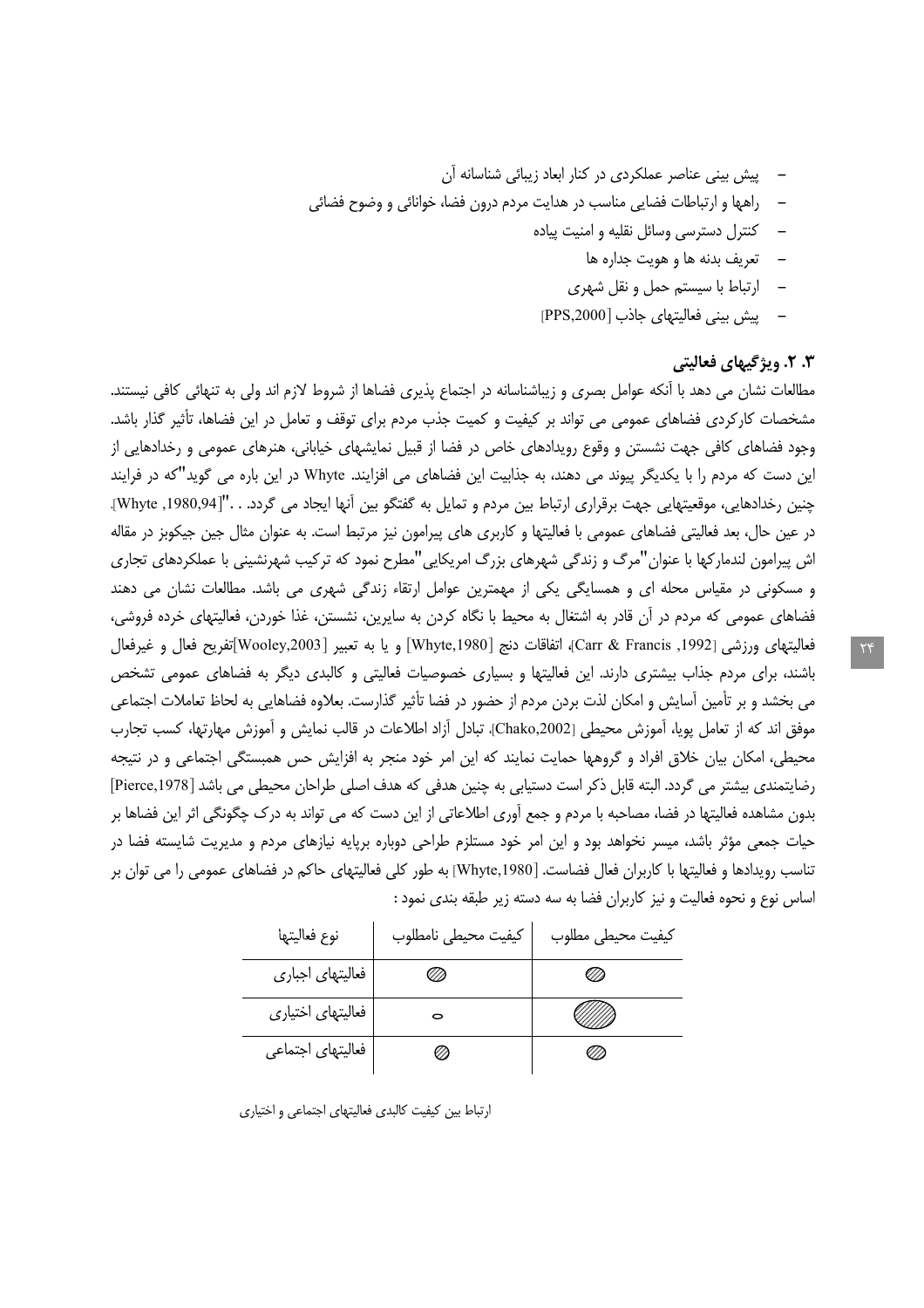- پیش بینی عناصر عملکردی در کنار ابعاد زیبائی شناسانه آن
- دراهها و ارتباطات فضایی مناسب در هدایت مردم درون فضا، خوانائی و وضوح فضائی
	- کنترل دسترسی وسائل نقلیه و امنیت پیاده
		- تعريف بدنه ها و هويت جداره ها
		- ارتباط با سیستم حمل و نقل شهری
	- ييش بيني فعاليتهاى جاذب [PPS,2000]

#### **۳. ۲.** ویژگیهای فعالیتی

مطالعات نشان می دهد با آنکه عوامل بصری و زیباشناسانه در اجتماع پذیری فضاها از شروط لازم اند ولی به تنهائی کافی نیستند. مشخصات کارکردی فضاهای عمومی می تواند بر کیفیت و کمیت جذب مردم برای توقف و تعامل در این فضاها، تأثیر گذار باشد. وجود فضاهای کافی جهت نشستن و وقوع رویدادهای خاص در فضا از قبیل نمایشهای خیابانی، هنرهای عمومی و رخدادهایی از این دست که مردم را با یکدیگر پیوند می دهند، به جذابیت این فضاهای می افزایند. Whyte در این باره می گوید"که در فرایند چنین رخدادهایی، موقعیتهایی جهت برقراری ارتباط بین مردم و تمایل به گفتگو بین آنها ایجاد می گردد. . ."[Whyte ,1980,94]. در عین حال، بعد فعالیتی فضاهای عمومی با فعالیتها و کاربری های پیرامون نیز مرتبط است. به عنوان مثال جین جیکوبز در مقاله اش پیرامون لندمارکها با عنوان"مرگ و زندگی شهرهای بزرگ امریکایی"مطرح نمود که ترکیب شهرنشینی با عملکردهای تجاری و مسکونی در مقیاس محله ای و همسایگی یکی از مهمترین عوامل ارتقاء زندگی شهری می باشد. مطالعات نشان می دهند فضاهای عمومی که مردم در آن قادر به اشتغال به محیط با نگاه کردن به سایرین، نشستن، غذا خوردن، فعالیتهای خرده فروشی، فعاليتهاي ورزشي [1992, Carr & Francis]، اتفاقات دنج [Whyte,1980] و يا به تعبير [Wooley,2003]تفريح فعال و غيرفعال باشند، برای مردم جذاب بیشتری دارند. این فعالیتها و بسیاری خصوصیات فعالیتی و کالبدی دیگر به فضاهای عمومی تشخص می بخشد و بر تأمین آسایش و امکان لذت بردن مردم از حضور در فضا تأثیر گذارست. بعلاوه فضاهایی به لحاظ تعاملات اجتماعی موفق اند كه از تعامل يويا، آموزش محيطي [Chako,2002]، تبادل آزاد اطلاعات در قالب نمايش و آموزش مهارتها، كسب تجارب محیطی، امکان بیان خلاق افراد و گروهها حمایت نمایند که این امر خود منجر به افزایش حس همبستگی اجتماعی و در نتیجه رضایتمندی بیشتر می گردد. البته قابل ذکر است دستیابی به چنین هدفی که هدف اصلی طراحان محیطی می باشد [Pierce,1978] بدون مشاهده فعالیتها در فضا، مصاحبه با مردم و جمع آوری اطلاعاتی از این دست که می تواند به درک چگونگی اثر این فضاها بر حیات جمعی مؤثر باشد، میسر نخواهد بود و این امر خود مستلزم طراحی دوباره برپایه نیازهای مردم و مدیریت شایسته فضا در تناسب رویدادها و فعالیتها با کاربران فعال فضاست. [Whyte,1980] به طور کلی فعالیتهای حاکم در فضاهای عمومی را می توان بر اساس نوع و نحوه فعالیت و نیز کاربران فضا به سه دسته زیر طبقه بندی نمود :

| نوع فعاليتها      | كيفيت محيطى نامطلوب | كيفيت محيطى مطلوب |
|-------------------|---------------------|-------------------|
| فعاليتهاى اجبارى  | U)                  | m                 |
| فعاليتهاى اختياري |                     |                   |
| فعاليتهاى اجتماعى | W)                  |                   |

ارتباط بین کیفیت کالبدی فعالیتهای اجتماعی و اختیاری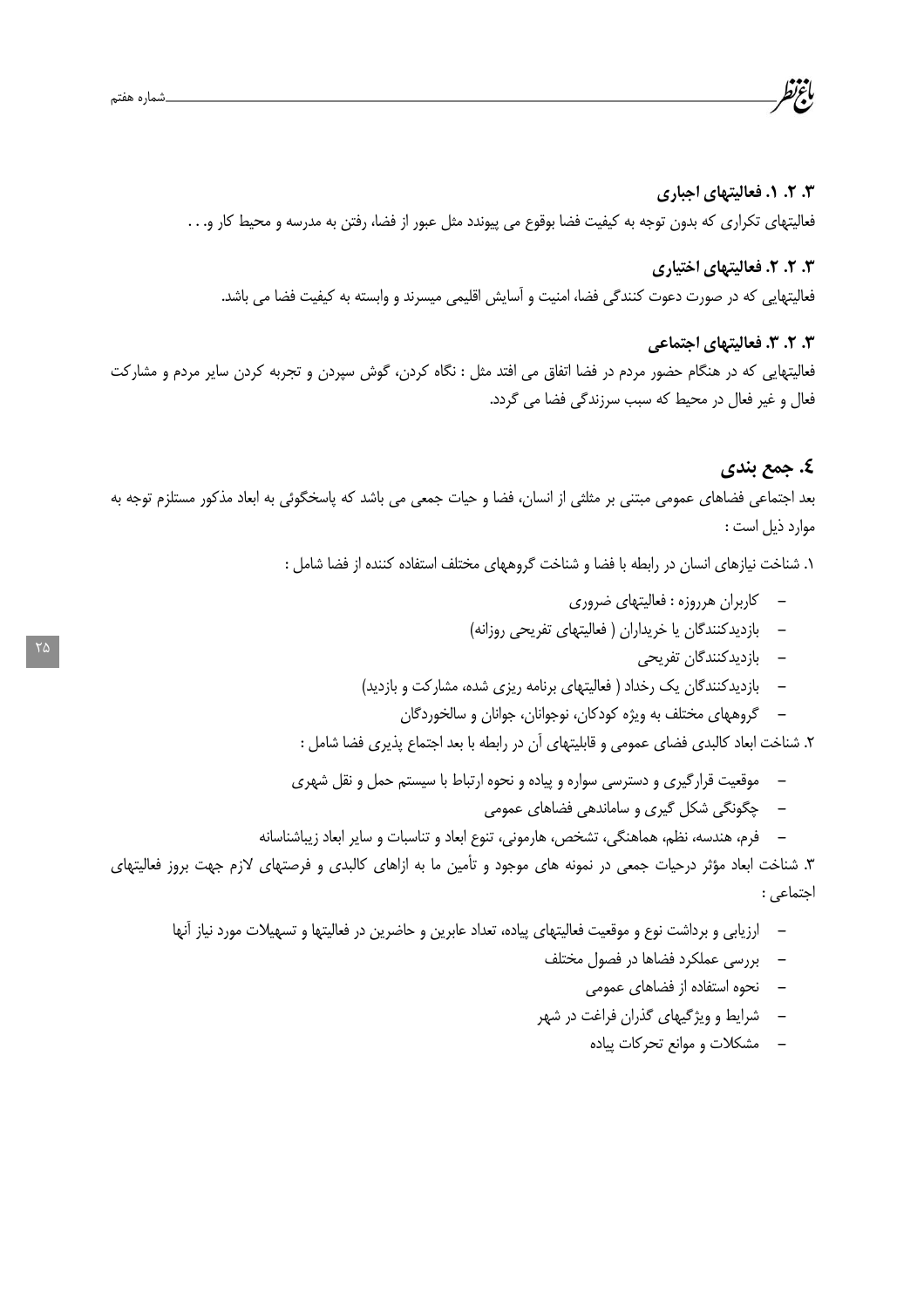## ۰.۲ ۲. د فعالیتهای اجباری فعالیتهای تکراری که بدون توجه به کیفیت فضا بوقوع می پیوندد مثل عبور از فضا، رفتن به مدرسه و محیط کار و. . .

#### ۰.۳ ۲. ۴ فعالیتهای اختیاری

فعالیتهایی که در صورت دعوت کنندگی فضا، امنیت و آسایش اقلیمی میسرند و وابسته به کیفیت فضا می باشد.

#### ۰۳. ۲. ۳. فعالیتهای اجتماعی

فعالیتهایی که در هنگام حضور مردم در فضا اتفاق می افتد مثل : نگاه کردن، گوش سپردن و تجربه کردن سایر مردم و مشارکت فعال و غیر فعال در محیط که سبب سرزندگی فضا می گردد.

#### ٤. جمع بندي

بعد اجتماعی فضاهای عمومی مبتنی بر مثلثی از انسان، فضا و حیات جمعی می باشد که پاسخگوئی به ابعاد مذکور مستلزم توجه به موارد ذيل است :

١. شناخت نيازهاي انسان در رابطه با فضا و شناخت گروههاي مختلف استفاده كننده از فضا شامل :

- كاربران هرروزه : فعاليتهاي ضروري
- بازدیدکنندگان یا خریداران ( فعالیتهای تفریحی روزانه)
	- بازدیدکنندگان تفریحی
- بازدیدکنندگان یک رخداد ( فعالیتهای برنامه ریزی شده، مشارکت و بازدید)
	- گروههای مختلف به ویژه کودکان، نوجوانان، جوانان و سالخوردگان

۲. شناخت ابعاد کالبدی فضای عمومی و قابلیتهای آن در رابطه با بعد اجتماع پذیری فضا شامل :

- موقعیت قرارگیری و دسترسی سواره و پیاده و نحوه ارتباط با سیستم حمل و نقل شهری  $\overline{\phantom{0}}$ 
	- چگونگی شکل گیری و ساماندهی فضاهای عمومی
- فرم، هندسه، نظم، هماهنگی، تشخص، هارمونی، تنوع ابعاد و تناسبات و سایر ابعاد زیباشناسانه

۳. شناخت ابعاد مؤثر درحیات جمعی در نمونه های موجود و تأمین ما به ازاهای کالبدی و فرصتهای لازم جهت بروز فعالیتهای احتماعي :

- ارزیابی و برداشت نوع و موقعیت فعالیتهای پیاده، تعداد عابرین و حاضرین در فعالیتها و تسهیلات مورد نیاز آنها
	- بررسی عملکرد فضاها در فصول مختلف
		- نحوه استفاده از فضاهای عمومی
	- شرایط و ویژگیهای گذران فراغت در شهر
		- مشکلات و موانع تحرکات پیاده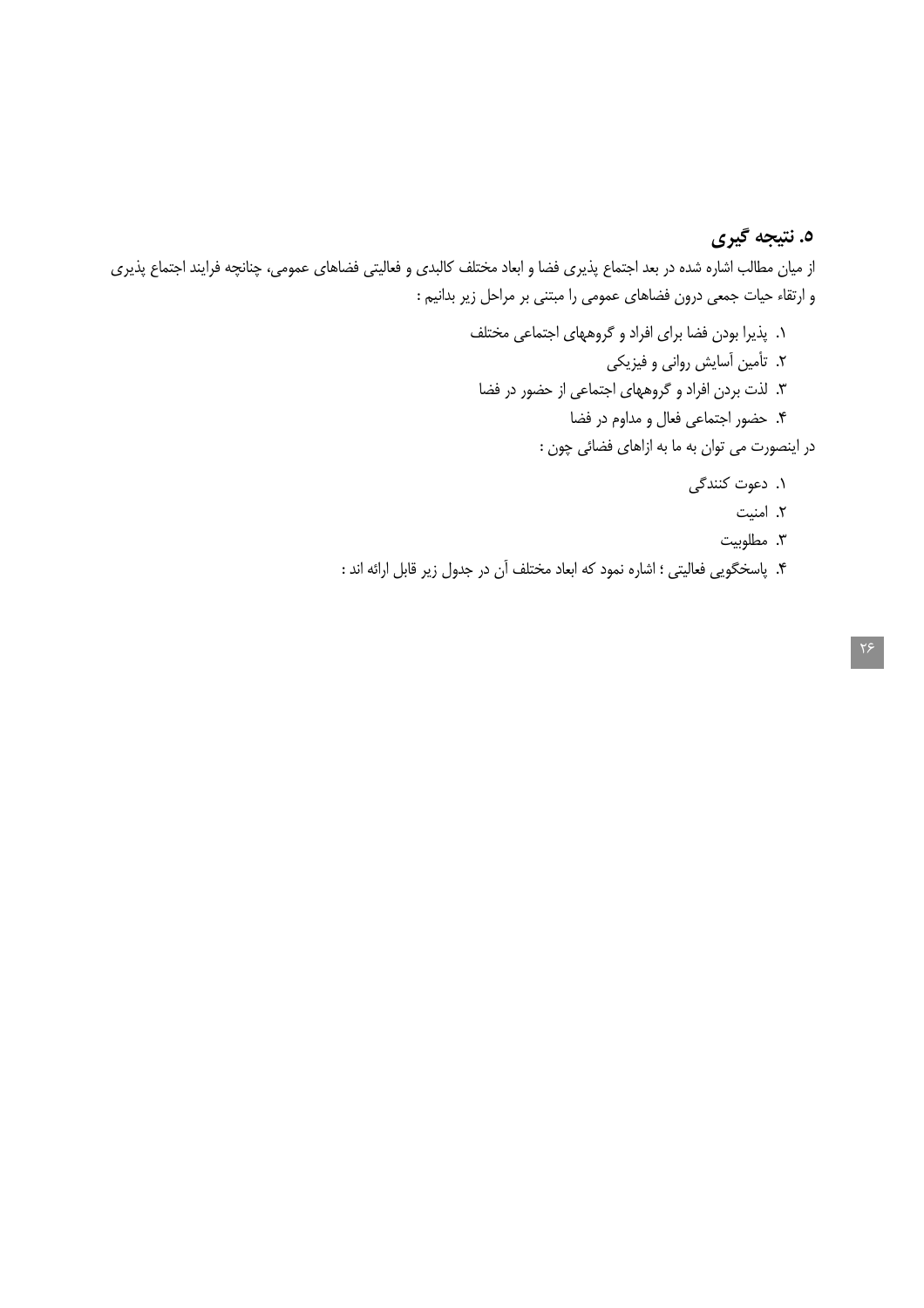# ٥. نتيجه گيري

از میان مطالب اشاره شده در بعد اجتماع پذیری فضا و ابعاد مختلف کالبدی و فعالیتی فضاهای عمومی، چنانچه فرایند اجتماع پذیری و ارتقاء حیات جمعی درون فضاهای عمومی را مبتنی بر مراحل زیر بدانیم :

- ١. پذیرا بودن فضا برای افراد و گروههای اجتماعی مختلف ۲. تأمین آسایش روانی و فیزیکی ۳. لذت بردن افراد و گروههای اجتماعی از حضور در فضا ۴. حضور اجتماعي فعال و مداوم در فضا در اینصورت می توان به ما به ازاهای فضائی چون : ۱. دعوت کنندگی ٢. امنيت ۳. مطلوبیت
- ۴. پاسخگویی فعالیتی ؛ اشاره نمود که ابعاد مختلف آن در جدول زیر قابل ارائه اند :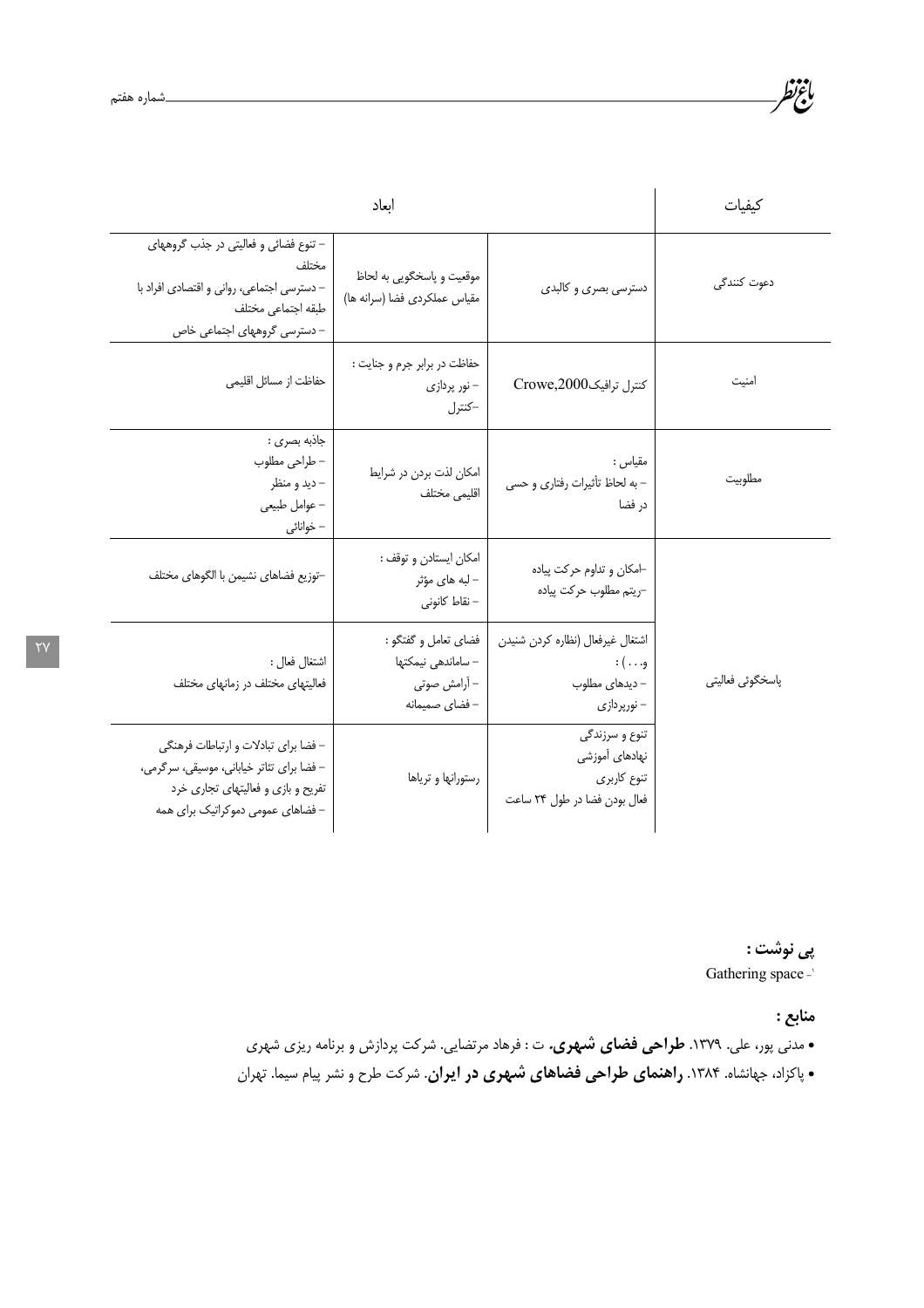| ابعاد                                                                                                                                                        |                                                                              |                                                                                         | كبفيات           |
|--------------------------------------------------------------------------------------------------------------------------------------------------------------|------------------------------------------------------------------------------|-----------------------------------------------------------------------------------------|------------------|
| - تنوع فضائي و فعاليتي در جذب گروههاي<br>مختلف<br>- دسترسی اجتماعی، روانی و اقتصادی افراد با<br>طبقه اجتماعي مختلف<br>- دسترسی گروههای اجتماعی خاص           | موقعیت و پاسخگویی به لحاظ<br>مقياس عملكردي فضا (سرانه ها)                    | دسترسی بصری و کالبدی                                                                    | دعوت كنندگى      |
| حفاظت از مسائل اقليمي                                                                                                                                        | حفاظت در برابر جرم و جنایت :<br>– نور پردازی<br>-كنترل                       | كنترل ترافيك2000,Crowe                                                                  | امنيت            |
| جاذبه بصرى :<br>– طراحی مطلوب<br>- ديد و منظر<br>- عوامل طبيعي<br>– خوانائی                                                                                  | امكان لذت بردن در شرايط<br>اقليمي مختلف                                      | مقياس :<br>- به لحاظ تأثيرات رفتاري و حسى<br>در فضا                                     | مطلوبيت          |
| -توزيع فضاهاى نشيمن با الگوهاى مختلف                                                                                                                         | امكان ايستادن و توقف :<br>– لبه های مؤثر<br>- نقاط كانونى                    | ⊣مكان و تداوم حركت پياده<br>-ريتم مطلوب حركت پياده                                      |                  |
| اشتغال فعال :<br>فعالیتهای مختلف در زمانهای مختلف                                                                                                            | فضاي تعامل و گفتگو :<br>– ساماندهی نیمکتها<br>– آرامش صوتی<br>- فضاى صميمانه | اشتغال غيرفعال (نظاره كردن شنيدن<br>و. ) :<br>– دیدهای مطلوب<br>– نورپردازی             | پاسخگوئی فعالیتی |
| - فضا براي تبادلات و ارتباطات فرهنگي<br>- فضا برای تئاتر خیابانی، موسیقی، سرگرمی،<br>تفریح و بازی و فعالیتهای تجاری خرد<br>– فضاهای عمومی دموکراتیک برای همه | رستورانها و ترياها                                                           | تنوع و سرزندگی<br>نهادها <i>ی</i> آموزشی<br>تنوع كاربرى<br>فعال بودن فضا در طول ٢۴ ساعت |                  |

پى نوشت : Gathering space-

منابع :

• مدنی پور، علی. ۱۳۷۹. **طراحی فضای شهری.** ت : فرهاد مرتضایی. شرکت پردازش و برنامه ریزی شهری • پاکزاد، جهانشاه. ۱۳۸۴. **راهنمای طراحی فضاهای شهوی در ایران**. شرکت طرح و نشر پیام سیما. تهران